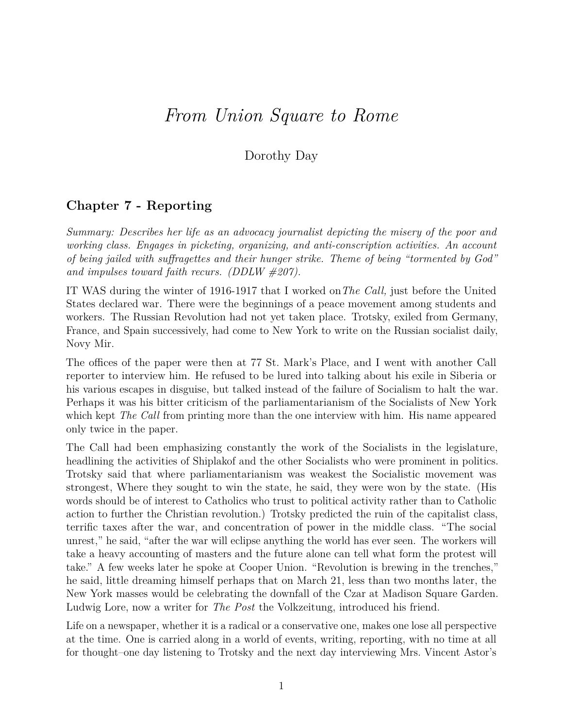## *From Union Square to Rome*

Dorothy Day

## **Chapter 7 - Reporting**

*Summary: Describes her life as an advocacy journalist depicting the misery of the poor and working class. Engages in picketing, organizing, and anti-conscription activities. An account of being jailed with suffragettes and their hunger strike. Theme of being "tormented by God" and impulses toward faith recurs. (DDLW #207).*

IT WAS during the winter of 1916-1917 that I worked on*The Call,* just before the United States declared war. There were the beginnings of a peace movement among students and workers. The Russian Revolution had not yet taken place. Trotsky, exiled from Germany, France, and Spain successively, had come to New York to write on the Russian socialist daily, Novy Mir.

The offices of the paper were then at 77 St. Mark's Place, and I went with another Call reporter to interview him. He refused to be lured into talking about his exile in Siberia or his various escapes in disguise, but talked instead of the failure of Socialism to halt the war. Perhaps it was his bitter criticism of the parliamentarianism of the Socialists of New York which kept *The Call* from printing more than the one interview with him. His name appeared only twice in the paper.

The Call had been emphasizing constantly the work of the Socialists in the legislature, headlining the activities of Shiplakof and the other Socialists who were prominent in politics. Trotsky said that where parliamentarianism was weakest the Socialistic movement was strongest, Where they sought to win the state, he said, they were won by the state. (His words should be of interest to Catholics who trust to political activity rather than to Catholic action to further the Christian revolution.) Trotsky predicted the ruin of the capitalist class, terrific taxes after the war, and concentration of power in the middle class. "The social unrest," he said, "after the war will eclipse anything the world has ever seen. The workers will take a heavy accounting of masters and the future alone can tell what form the protest will take." A few weeks later he spoke at Cooper Union. "Revolution is brewing in the trenches," he said, little dreaming himself perhaps that on March 21, less than two months later, the New York masses would be celebrating the downfall of the Czar at Madison Square Garden. Ludwig Lore, now a writer for *The Post* the Volkzeitung, introduced his friend.

Life on a newspaper, whether it is a radical or a conservative one, makes one lose all perspective at the time. One is carried along in a world of events, writing, reporting, with no time at all for thought–one day listening to Trotsky and the next day interviewing Mrs. Vincent Astor's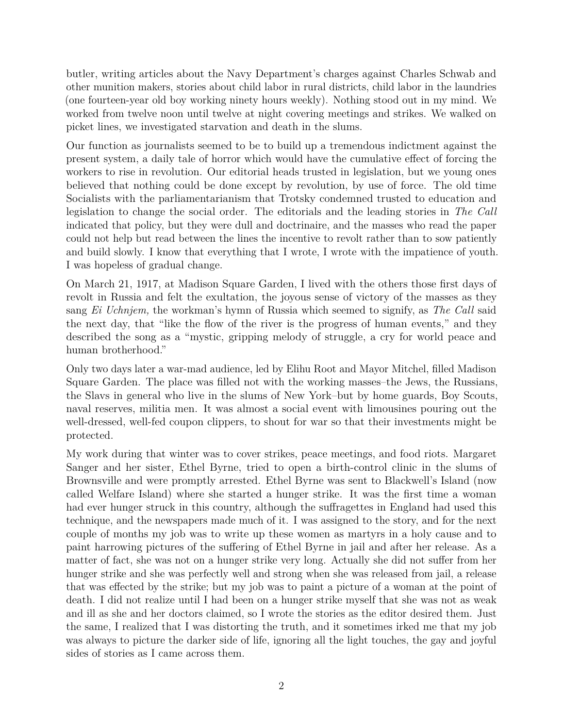butler, writing articles about the Navy Department's charges against Charles Schwab and other munition makers, stories about child labor in rural districts, child labor in the laundries (one fourteen-year old boy working ninety hours weekly). Nothing stood out in my mind. We worked from twelve noon until twelve at night covering meetings and strikes. We walked on picket lines, we investigated starvation and death in the slums.

Our function as journalists seemed to be to build up a tremendous indictment against the present system, a daily tale of horror which would have the cumulative effect of forcing the workers to rise in revolution. Our editorial heads trusted in legislation, but we young ones believed that nothing could be done except by revolution, by use of force. The old time Socialists with the parliamentarianism that Trotsky condemned trusted to education and legislation to change the social order. The editorials and the leading stories in *The Call* indicated that policy, but they were dull and doctrinaire, and the masses who read the paper could not help but read between the lines the incentive to revolt rather than to sow patiently and build slowly. I know that everything that I wrote, I wrote with the impatience of youth. I was hopeless of gradual change.

On March 21, 1917, at Madison Square Garden, I lived with the others those first days of revolt in Russia and felt the exultation, the joyous sense of victory of the masses as they sang *Ei Uchnjem,* the workman's hymn of Russia which seemed to signify, as *The Call* said the next day, that "like the flow of the river is the progress of human events," and they described the song as a "mystic, gripping melody of struggle, a cry for world peace and human brotherhood."

Only two days later a war-mad audience, led by Elihu Root and Mayor Mitchel, filled Madison Square Garden. The place was filled not with the working masses–the Jews, the Russians, the Slavs in general who live in the slums of New York–but by home guards, Boy Scouts, naval reserves, militia men. It was almost a social event with limousines pouring out the well-dressed, well-fed coupon clippers, to shout for war so that their investments might be protected.

My work during that winter was to cover strikes, peace meetings, and food riots. Margaret Sanger and her sister, Ethel Byrne, tried to open a birth-control clinic in the slums of Brownsville and were promptly arrested. Ethel Byrne was sent to Blackwell's Island (now called Welfare Island) where she started a hunger strike. It was the first time a woman had ever hunger struck in this country, although the suffragettes in England had used this technique, and the newspapers made much of it. I was assigned to the story, and for the next couple of months my job was to write up these women as martyrs in a holy cause and to paint harrowing pictures of the suffering of Ethel Byrne in jail and after her release. As a matter of fact, she was not on a hunger strike very long. Actually she did not suffer from her hunger strike and she was perfectly well and strong when she was released from jail, a release that was effected by the strike; but my job was to paint a picture of a woman at the point of death. I did not realize until I had been on a hunger strike myself that she was not as weak and ill as she and her doctors claimed, so I wrote the stories as the editor desired them. Just the same, I realized that I was distorting the truth, and it sometimes irked me that my job was always to picture the darker side of life, ignoring all the light touches, the gay and joyful sides of stories as I came across them.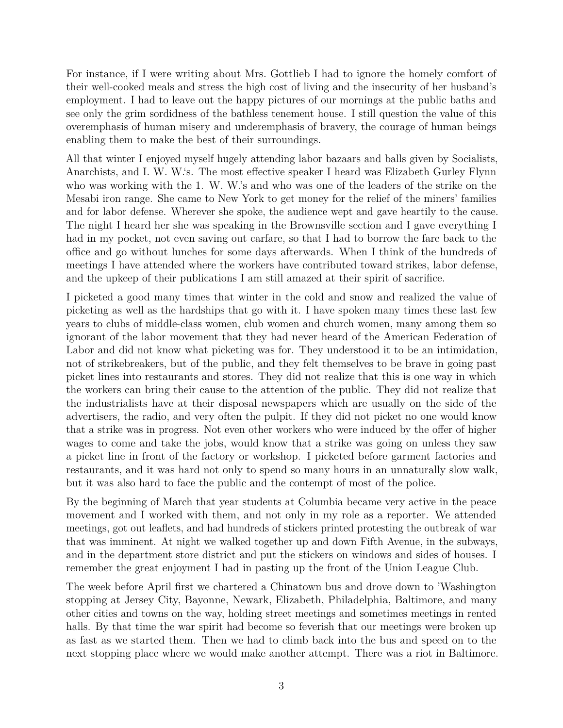For instance, if I were writing about Mrs. Gottlieb I had to ignore the homely comfort of their well-cooked meals and stress the high cost of living and the insecurity of her husband's employment. I had to leave out the happy pictures of our mornings at the public baths and see only the grim sordidness of the bathless tenement house. I still question the value of this overemphasis of human misery and underemphasis of bravery, the courage of human beings enabling them to make the best of their surroundings.

All that winter I enjoyed myself hugely attending labor bazaars and balls given by Socialists, Anarchists, and I. W. W.'s. The most effective speaker I heard was Elizabeth Gurley Flynn who was working with the 1. W. W.'s and who was one of the leaders of the strike on the Mesabi iron range. She came to New York to get money for the relief of the miners' families and for labor defense. Wherever she spoke, the audience wept and gave heartily to the cause. The night I heard her she was speaking in the Brownsville section and I gave everything I had in my pocket, not even saving out carfare, so that I had to borrow the fare back to the office and go without lunches for some days afterwards. When I think of the hundreds of meetings I have attended where the workers have contributed toward strikes, labor defense, and the upkeep of their publications I am still amazed at their spirit of sacrifice.

I picketed a good many times that winter in the cold and snow and realized the value of picketing as well as the hardships that go with it. I have spoken many times these last few years to clubs of middle-class women, club women and church women, many among them so ignorant of the labor movement that they had never heard of the American Federation of Labor and did not know what picketing was for. They understood it to be an intimidation, not of strikebreakers, but of the public, and they felt themselves to be brave in going past picket lines into restaurants and stores. They did not realize that this is one way in which the workers can bring their cause to the attention of the public. They did not realize that the industrialists have at their disposal newspapers which are usually on the side of the advertisers, the radio, and very often the pulpit. If they did not picket no one would know that a strike was in progress. Not even other workers who were induced by the offer of higher wages to come and take the jobs, would know that a strike was going on unless they saw a picket line in front of the factory or workshop. I picketed before garment factories and restaurants, and it was hard not only to spend so many hours in an unnaturally slow walk, but it was also hard to face the public and the contempt of most of the police.

By the beginning of March that year students at Columbia became very active in the peace movement and I worked with them, and not only in my role as a reporter. We attended meetings, got out leaflets, and had hundreds of stickers printed protesting the outbreak of war that was imminent. At night we walked together up and down Fifth Avenue, in the subways, and in the department store district and put the stickers on windows and sides of houses. I remember the great enjoyment I had in pasting up the front of the Union League Club.

The week before April first we chartered a Chinatown bus and drove down to 'Washington stopping at Jersey City, Bayonne, Newark, Elizabeth, Philadelphia, Baltimore, and many other cities and towns on the way, holding street meetings and sometimes meetings in rented halls. By that time the war spirit had become so feverish that our meetings were broken up as fast as we started them. Then we had to climb back into the bus and speed on to the next stopping place where we would make another attempt. There was a riot in Baltimore.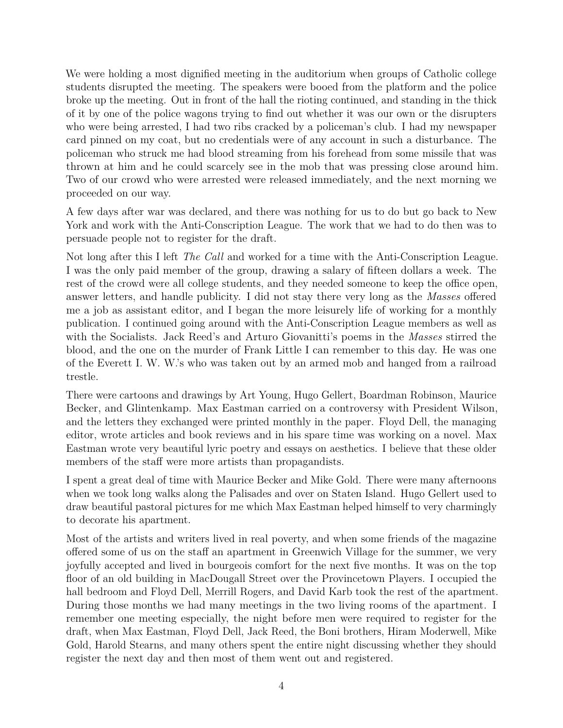We were holding a most dignified meeting in the auditorium when groups of Catholic college students disrupted the meeting. The speakers were booed from the platform and the police broke up the meeting. Out in front of the hall the rioting continued, and standing in the thick of it by one of the police wagons trying to find out whether it was our own or the disrupters who were being arrested, I had two ribs cracked by a policeman's club. I had my newspaper card pinned on my coat, but no credentials were of any account in such a disturbance. The policeman who struck me had blood streaming from his forehead from some missile that was thrown at him and he could scarcely see in the mob that was pressing close around him. Two of our crowd who were arrested were released immediately, and the next morning we proceeded on our way.

A few days after war was declared, and there was nothing for us to do but go back to New York and work with the Anti-Conscription League. The work that we had to do then was to persuade people not to register for the draft.

Not long after this I left *The Call* and worked for a time with the Anti-Conscription League. I was the only paid member of the group, drawing a salary of fifteen dollars a week. The rest of the crowd were all college students, and they needed someone to keep the office open, answer letters, and handle publicity. I did not stay there very long as the *Masses* offered me a job as assistant editor, and I began the more leisurely life of working for a monthly publication. I continued going around with the Anti-Conscription League members as well as with the Socialists. Jack Reed's and Arturo Giovanitti's poems in the *Masses* stirred the blood, and the one on the murder of Frank Little I can remember to this day. He was one of the Everett I. W. W.'s who was taken out by an armed mob and hanged from a railroad trestle.

There were cartoons and drawings by Art Young, Hugo Gellert, Boardman Robinson, Maurice Becker, and Glintenkamp. Max Eastman carried on a controversy with President Wilson, and the letters they exchanged were printed monthly in the paper. Floyd Dell, the managing editor, wrote articles and book reviews and in his spare time was working on a novel. Max Eastman wrote very beautiful lyric poetry and essays on aesthetics. I believe that these older members of the staff were more artists than propagandists.

I spent a great deal of time with Maurice Becker and Mike Gold. There were many afternoons when we took long walks along the Palisades and over on Staten Island. Hugo Gellert used to draw beautiful pastoral pictures for me which Max Eastman helped himself to very charmingly to decorate his apartment.

Most of the artists and writers lived in real poverty, and when some friends of the magazine offered some of us on the staff an apartment in Greenwich Village for the summer, we very joyfully accepted and lived in bourgeois comfort for the next five months. It was on the top floor of an old building in MacDougall Street over the Provincetown Players. I occupied the hall bedroom and Floyd Dell, Merrill Rogers, and David Karb took the rest of the apartment. During those months we had many meetings in the two living rooms of the apartment. I remember one meeting especially, the night before men were required to register for the draft, when Max Eastman, Floyd Dell, Jack Reed, the Boni brothers, Hiram Moderwell, Mike Gold, Harold Stearns, and many others spent the entire night discussing whether they should register the next day and then most of them went out and registered.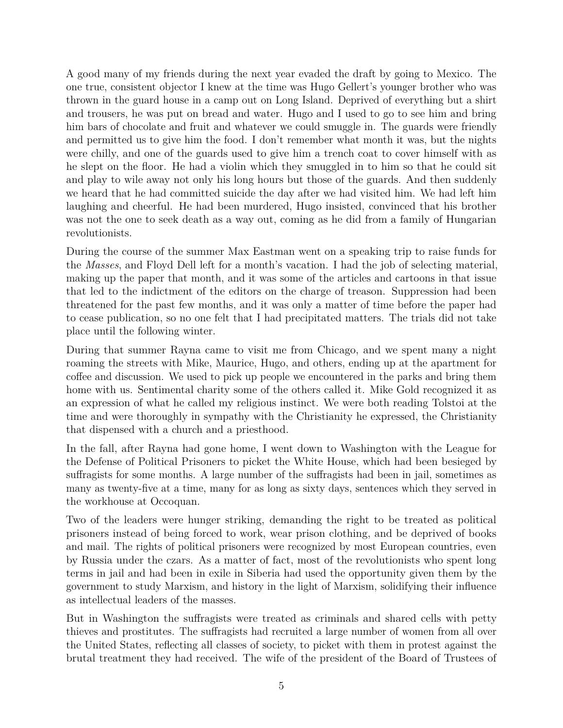A good many of my friends during the next year evaded the draft by going to Mexico. The one true, consistent objector I knew at the time was Hugo Gellert's younger brother who was thrown in the guard house in a camp out on Long Island. Deprived of everything but a shirt and trousers, he was put on bread and water. Hugo and I used to go to see him and bring him bars of chocolate and fruit and whatever we could smuggle in. The guards were friendly and permitted us to give him the food. I don't remember what month it was, but the nights were chilly, and one of the guards used to give him a trench coat to cover himself with as he slept on the floor. He had a violin which they smuggled in to him so that he could sit and play to wile away not only his long hours but those of the guards. And then suddenly we heard that he had committed suicide the day after we had visited him. We had left him laughing and cheerful. He had been murdered, Hugo insisted, convinced that his brother was not the one to seek death as a way out, coming as he did from a family of Hungarian revolutionists.

During the course of the summer Max Eastman went on a speaking trip to raise funds for the *Masses*, and Floyd Dell left for a month's vacation. I had the job of selecting material, making up the paper that month, and it was some of the articles and cartoons in that issue that led to the indictment of the editors on the charge of treason. Suppression had been threatened for the past few months, and it was only a matter of time before the paper had to cease publication, so no one felt that I had precipitated matters. The trials did not take place until the following winter.

During that summer Rayna came to visit me from Chicago, and we spent many a night roaming the streets with Mike, Maurice, Hugo, and others, ending up at the apartment for coffee and discussion. We used to pick up people we encountered in the parks and bring them home with us. Sentimental charity some of the others called it. Mike Gold recognized it as an expression of what he called my religious instinct. We were both reading Tolstoi at the time and were thoroughly in sympathy with the Christianity he expressed, the Christianity that dispensed with a church and a priesthood.

In the fall, after Rayna had gone home, I went down to Washington with the League for the Defense of Political Prisoners to picket the White House, which had been besieged by suffragists for some months. A large number of the suffragists had been in jail, sometimes as many as twenty-five at a time, many for as long as sixty days, sentences which they served in the workhouse at Occoquan.

Two of the leaders were hunger striking, demanding the right to be treated as political prisoners instead of being forced to work, wear prison clothing, and be deprived of books and mail. The rights of political prisoners were recognized by most European countries, even by Russia under the czars. As a matter of fact, most of the revolutionists who spent long terms in jail and had been in exile in Siberia had used the opportunity given them by the government to study Marxism, and history in the light of Marxism, solidifying their influence as intellectual leaders of the masses.

But in Washington the suffragists were treated as criminals and shared cells with petty thieves and prostitutes. The suffragists had recruited a large number of women from all over the United States, reflecting all classes of society, to picket with them in protest against the brutal treatment they had received. The wife of the president of the Board of Trustees of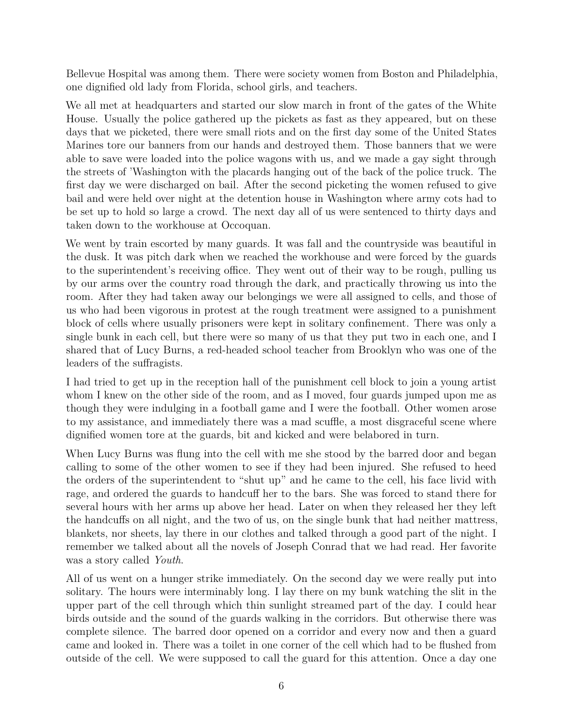Bellevue Hospital was among them. There were society women from Boston and Philadelphia, one dignified old lady from Florida, school girls, and teachers.

We all met at headquarters and started our slow march in front of the gates of the White House. Usually the police gathered up the pickets as fast as they appeared, but on these days that we picketed, there were small riots and on the first day some of the United States Marines tore our banners from our hands and destroyed them. Those banners that we were able to save were loaded into the police wagons with us, and we made a gay sight through the streets of 'Washington with the placards hanging out of the back of the police truck. The first day we were discharged on bail. After the second picketing the women refused to give bail and were held over night at the detention house in Washington where army cots had to be set up to hold so large a crowd. The next day all of us were sentenced to thirty days and taken down to the workhouse at Occoquan.

We went by train escorted by many guards. It was fall and the countryside was beautiful in the dusk. It was pitch dark when we reached the workhouse and were forced by the guards to the superintendent's receiving office. They went out of their way to be rough, pulling us by our arms over the country road through the dark, and practically throwing us into the room. After they had taken away our belongings we were all assigned to cells, and those of us who had been vigorous in protest at the rough treatment were assigned to a punishment block of cells where usually prisoners were kept in solitary confinement. There was only a single bunk in each cell, but there were so many of us that they put two in each one, and I shared that of Lucy Burns, a red-headed school teacher from Brooklyn who was one of the leaders of the suffragists.

I had tried to get up in the reception hall of the punishment cell block to join a young artist whom I knew on the other side of the room, and as I moved, four guards jumped upon me as though they were indulging in a football game and I were the football. Other women arose to my assistance, and immediately there was a mad scuffle, a most disgraceful scene where dignified women tore at the guards, bit and kicked and were belabored in turn.

When Lucy Burns was flung into the cell with me she stood by the barred door and began calling to some of the other women to see if they had been injured. She refused to heed the orders of the superintendent to "shut up" and he came to the cell, his face livid with rage, and ordered the guards to handcuff her to the bars. She was forced to stand there for several hours with her arms up above her head. Later on when they released her they left the handcuffs on all night, and the two of us, on the single bunk that had neither mattress, blankets, nor sheets, lay there in our clothes and talked through a good part of the night. I remember we talked about all the novels of Joseph Conrad that we had read. Her favorite was a story called *Youth*.

All of us went on a hunger strike immediately. On the second day we were really put into solitary. The hours were interminably long. I lay there on my bunk watching the slit in the upper part of the cell through which thin sunlight streamed part of the day. I could hear birds outside and the sound of the guards walking in the corridors. But otherwise there was complete silence. The barred door opened on a corridor and every now and then a guard came and looked in. There was a toilet in one corner of the cell which had to be flushed from outside of the cell. We were supposed to call the guard for this attention. Once a day one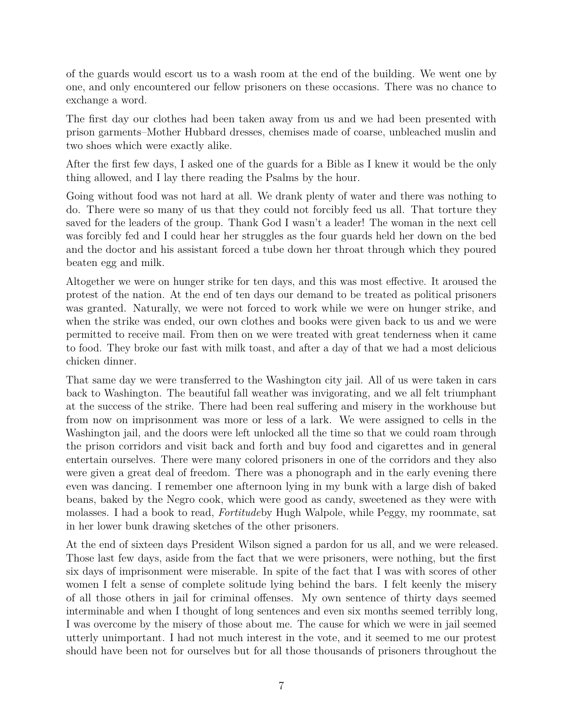of the guards would escort us to a wash room at the end of the building. We went one by one, and only encountered our fellow prisoners on these occasions. There was no chance to exchange a word.

The first day our clothes had been taken away from us and we had been presented with prison garments–Mother Hubbard dresses, chemises made of coarse, unbleached muslin and two shoes which were exactly alike.

After the first few days, I asked one of the guards for a Bible as I knew it would be the only thing allowed, and I lay there reading the Psalms by the hour.

Going without food was not hard at all. We drank plenty of water and there was nothing to do. There were so many of us that they could not forcibly feed us all. That torture they saved for the leaders of the group. Thank God I wasn't a leader! The woman in the next cell was forcibly fed and I could hear her struggles as the four guards held her down on the bed and the doctor and his assistant forced a tube down her throat through which they poured beaten egg and milk.

Altogether we were on hunger strike for ten days, and this was most effective. It aroused the protest of the nation. At the end of ten days our demand to be treated as political prisoners was granted. Naturally, we were not forced to work while we were on hunger strike, and when the strike was ended, our own clothes and books were given back to us and we were permitted to receive mail. From then on we were treated with great tenderness when it came to food. They broke our fast with milk toast, and after a day of that we had a most delicious chicken dinner.

That same day we were transferred to the Washington city jail. All of us were taken in cars back to Washington. The beautiful fall weather was invigorating, and we all felt triumphant at the success of the strike. There had been real suffering and misery in the workhouse but from now on imprisonment was more or less of a lark. We were assigned to cells in the Washington jail, and the doors were left unlocked all the time so that we could roam through the prison corridors and visit back and forth and buy food and cigarettes and in general entertain ourselves. There were many colored prisoners in one of the corridors and they also were given a great deal of freedom. There was a phonograph and in the early evening there even was dancing. I remember one afternoon lying in my bunk with a large dish of baked beans, baked by the Negro cook, which were good as candy, sweetened as they were with molasses. I had a book to read, *Fortitude*by Hugh Walpole, while Peggy, my roommate, sat in her lower bunk drawing sketches of the other prisoners.

At the end of sixteen days President Wilson signed a pardon for us all, and we were released. Those last few days, aside from the fact that we were prisoners, were nothing, but the first six days of imprisonment were miserable. In spite of the fact that I was with scores of other women I felt a sense of complete solitude lying behind the bars. I felt keenly the misery of all those others in jail for criminal offenses. My own sentence of thirty days seemed interminable and when I thought of long sentences and even six months seemed terribly long, I was overcome by the misery of those about me. The cause for which we were in jail seemed utterly unimportant. I had not much interest in the vote, and it seemed to me our protest should have been not for ourselves but for all those thousands of prisoners throughout the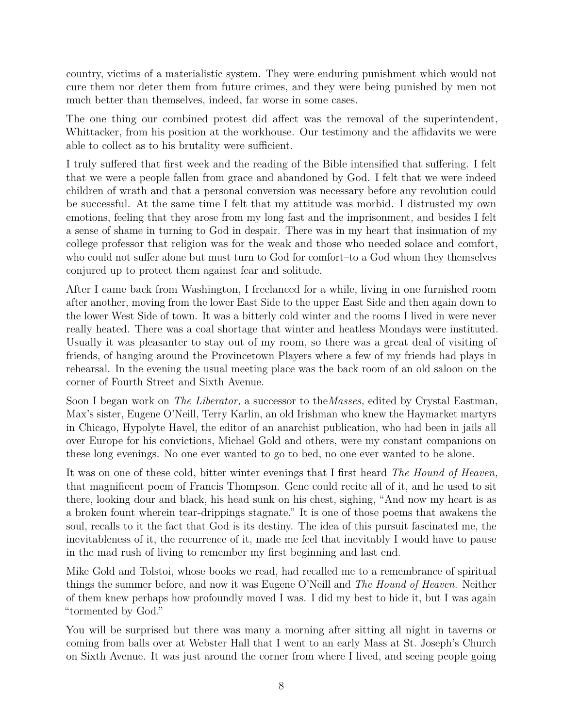country, victims of a materialistic system. They were enduring punishment which would not cure them nor deter them from future crimes, and they were being punished by men not much better than themselves, indeed, far worse in some cases.

The one thing our combined protest did affect was the removal of the superintendent, Whittacker, from his position at the workhouse. Our testimony and the affidavits we were able to collect as to his brutality were sufficient.

I truly suffered that first week and the reading of the Bible intensified that suffering. I felt that we were a people fallen from grace and abandoned by God. I felt that we were indeed children of wrath and that a personal conversion was necessary before any revolution could be successful. At the same time I felt that my attitude was morbid. I distrusted my own emotions, feeling that they arose from my long fast and the imprisonment, and besides I felt a sense of shame in turning to God in despair. There was in my heart that insinuation of my college professor that religion was for the weak and those who needed solace and comfort, who could not suffer alone but must turn to God for comfort–to a God whom they themselves conjured up to protect them against fear and solitude.

After I came back from Washington, I freelanced for a while, living in one furnished room after another, moving from the lower East Side to the upper East Side and then again down to the lower West Side of town. It was a bitterly cold winter and the rooms I lived in were never really heated. There was a coal shortage that winter and heatless Mondays were instituted. Usually it was pleasanter to stay out of my room, so there was a great deal of visiting of friends, of hanging around the Provincetown Players where a few of my friends had plays in rehearsal. In the evening the usual meeting place was the back room of an old saloon on the corner of Fourth Street and Sixth Avenue.

Soon I began work on *The Liberator,* a successor to the*Masses,* edited by Crystal Eastman, Max's sister, Eugene O'Neill, Terry Karlin, an old Irishman who knew the Haymarket martyrs in Chicago, Hypolyte Havel, the editor of an anarchist publication, who had been in jails all over Europe for his convictions, Michael Gold and others, were my constant companions on these long evenings. No one ever wanted to go to bed, no one ever wanted to be alone.

It was on one of these cold, bitter winter evenings that I first heard *The Hound of Heaven,* that magnificent poem of Francis Thompson. Gene could recite all of it, and he used to sit there, looking dour and black, his head sunk on his chest, sighing, "And now my heart is as a broken fount wherein tear-drippings stagnate." It is one of those poems that awakens the soul, recalls to it the fact that God is its destiny. The idea of this pursuit fascinated me, the inevitableness of it, the recurrence of it, made me feel that inevitably I would have to pause in the mad rush of living to remember my first beginning and last end.

Mike Gold and Tolstoi, whose books we read, had recalled me to a remembrance of spiritual things the summer before, and now it was Eugene O'Neill and *The Hound of Heaven.* Neither of them knew perhaps how profoundly moved I was. I did my best to hide it, but I was again "tormented by God."

You will be surprised but there was many a morning after sitting all night in taverns or coming from balls over at Webster Hall that I went to an early Mass at St. Joseph's Church on Sixth Avenue. It was just around the corner from where I lived, and seeing people going